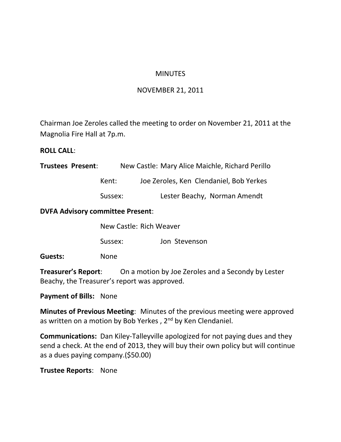## **MINUTES**

## NOVEMBER 21, 2011

Chairman Joe Zeroles called the meeting to order on November 21, 2011 at the Magnolia Fire Hall at 7p.m.

## **ROLL CALL**:

| <b>Trustees Present:</b>                | New Castle: Mary Alice Maichle, Richard Perillo |                                         |  |  |
|-----------------------------------------|-------------------------------------------------|-----------------------------------------|--|--|
|                                         | Kent:                                           | Joe Zeroles, Ken Clendaniel, Bob Yerkes |  |  |
|                                         | Sussex:                                         | Lester Beachy, Norman Amendt            |  |  |
| <b>DVFA Advisory committee Present:</b> |                                                 |                                         |  |  |

|         | New Castle: Rich Weaver |               |  |
|---------|-------------------------|---------------|--|
|         | Sussex:                 | Jon Stevenson |  |
| Guests: | <b>None</b>             |               |  |

**Treasurer's Report**: On a motion by Joe Zeroles and a Secondy by Lester Beachy, the Treasurer's report was approved.

**Payment of Bills:** None

**Minutes of Previous Meeting**: Minutes of the previous meeting were approved as written on a motion by Bob Yerkes,  $2<sup>nd</sup>$  by Ken Clendaniel.

**Communications:** Dan Kiley-Talleyville apologized for not paying dues and they send a check. At the end of 2013, they will buy their own policy but will continue as a dues paying company.(\$50.00)

**Trustee Reports**: None